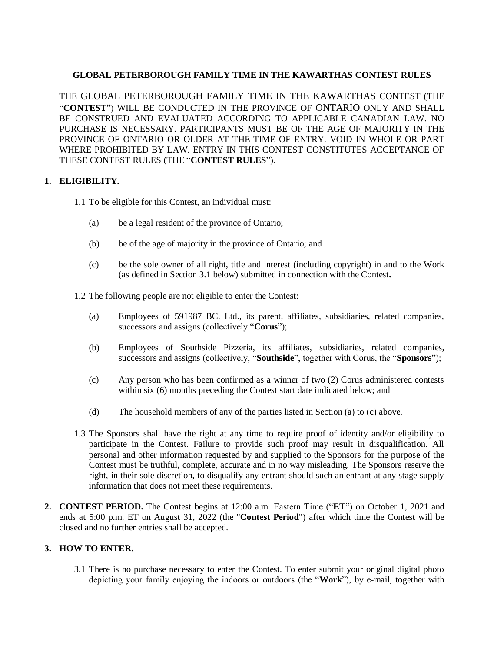# **GLOBAL PETERBOROUGH FAMILY TIME IN THE KAWARTHAS CONTEST RULES**

THE GLOBAL PETERBOROUGH FAMILY TIME IN THE KAWARTHAS CONTEST (THE "**CONTEST**") WILL BE CONDUCTED IN THE PROVINCE OF ONTARIO ONLY AND SHALL BE CONSTRUED AND EVALUATED ACCORDING TO APPLICABLE CANADIAN LAW. NO PURCHASE IS NECESSARY. PARTICIPANTS MUST BE OF THE AGE OF MAJORITY IN THE PROVINCE OF ONTARIO OR OLDER AT THE TIME OF ENTRY. VOID IN WHOLE OR PART WHERE PROHIBITED BY LAW. ENTRY IN THIS CONTEST CONSTITUTES ACCEPTANCE OF THESE CONTEST RULES (THE "**CONTEST RULES**").

## **1. ELIGIBILITY.**

- 1.1 To be eligible for this Contest, an individual must:
	- (a) be a legal resident of the province of Ontario;
	- (b) be of the age of majority in the province of Ontario; and
	- (c) be the sole owner of all right, title and interest (including copyright) in and to the Work (as defined in Section [3.1](#page-0-0) below) submitted in connection with the Contest**.**
- 1.2 The following people are not eligible to enter the Contest:
	- (a) Employees of 591987 BC. Ltd., its parent, affiliates, subsidiaries, related companies, successors and assigns (collectively "**Corus**");
	- (b) Employees of Southside Pizzeria, its affiliates, subsidiaries, related companies, successors and assigns (collectively, "**Southside**", together with Corus, the "**Sponsors**");
	- (c) Any person who has been confirmed as a winner of two (2) Corus administered contests within six (6) months preceding the Contest start date indicated below; and
	- (d) The household members of any of the parties listed in Section (a) to (c) above.
- 1.3 The Sponsors shall have the right at any time to require proof of identity and/or eligibility to participate in the Contest. Failure to provide such proof may result in disqualification. All personal and other information requested by and supplied to the Sponsors for the purpose of the Contest must be truthful, complete, accurate and in no way misleading. The Sponsors reserve the right, in their sole discretion, to disqualify any entrant should such an entrant at any stage supply information that does not meet these requirements.
- **2. CONTEST PERIOD.** The Contest begins at 12:00 a.m. Eastern Time ("**ET**") on October 1, 2021 and ends at 5:00 p.m. ET on August 31, 2022 (the "**Contest Period**") after which time the Contest will be closed and no further entries shall be accepted.

### **3. HOW TO ENTER.**

<span id="page-0-0"></span>3.1 There is no purchase necessary to enter the Contest. To enter submit your original digital photo depicting your family enjoying the indoors or outdoors (the "**Work**"), by e-mail, together with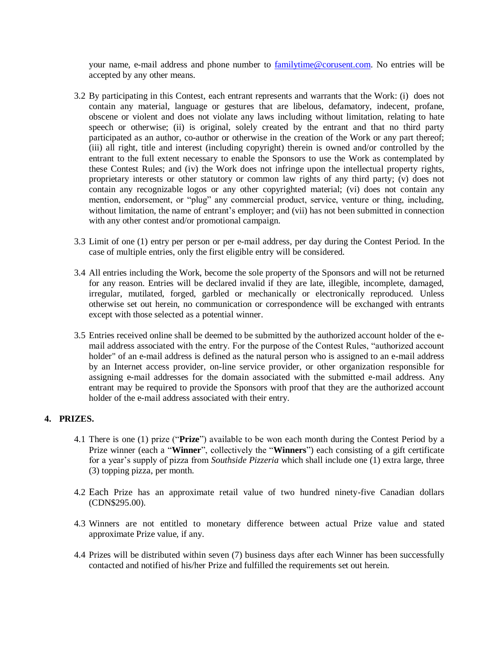your name, e-mail address and phone number to [familytime@corusent.com.](mailto:familytime@corusent.com) No entries will be accepted by any other means.

- 3.2 By participating in this Contest, each entrant represents and warrants that the Work: (i) does not contain any material, language or gestures that are libelous, defamatory, indecent, profane, obscene or violent and does not violate any laws including without limitation, relating to hate speech or otherwise; (ii) is original, solely created by the entrant and that no third party participated as an author, co-author or otherwise in the creation of the Work or any part thereof; (iii) all right, title and interest (including copyright) therein is owned and/or controlled by the entrant to the full extent necessary to enable the Sponsors to use the Work as contemplated by these Contest Rules; and (iv) the Work does not infringe upon the intellectual property rights, proprietary interests or other statutory or common law rights of any third party; (v) does not contain any recognizable logos or any other copyrighted material; (vi) does not contain any mention, endorsement, or "plug" any commercial product, service, venture or thing, including, without limitation, the name of entrant's employer; and (vii) has not been submitted in connection with any other contest and/or promotional campaign.
- 3.3 Limit of one (1) entry per person or per e-mail address, per day during the Contest Period. In the case of multiple entries, only the first eligible entry will be considered.
- 3.4 All entries including the Work, become the sole property of the Sponsors and will not be returned for any reason. Entries will be declared invalid if they are late, illegible, incomplete, damaged, irregular, mutilated, forged, garbled or mechanically or electronically reproduced. Unless otherwise set out herein, no communication or correspondence will be exchanged with entrants except with those selected as a potential winner.
- 3.5 Entries received online shall be deemed to be submitted by the authorized account holder of the email address associated with the entry. For the purpose of the Contest Rules, "authorized account holder" of an e-mail address is defined as the natural person who is assigned to an e-mail address by an Internet access provider, on-line service provider, or other organization responsible for assigning e-mail addresses for the domain associated with the submitted e-mail address. Any entrant may be required to provide the Sponsors with proof that they are the authorized account holder of the e-mail address associated with their entry.

### **4. PRIZES.**

- 4.1 There is one (1) prize ("**Prize**") available to be won each month during the Contest Period by a Prize winner (each a "**Winner**", collectively the "**Winners**") each consisting of a gift certificate for a year's supply of pizza from *Southside Pizzeria* which shall include one (1) extra large, three (3) topping pizza, per month.
- 4.2 Each Prize has an approximate retail value of two hundred ninety-five Canadian dollars (CDN\$295.00).
- 4.3 Winners are not entitled to monetary difference between actual Prize value and stated approximate Prize value, if any.
- 4.4 Prizes will be distributed within seven (7) business days after each Winner has been successfully contacted and notified of his/her Prize and fulfilled the requirements set out herein.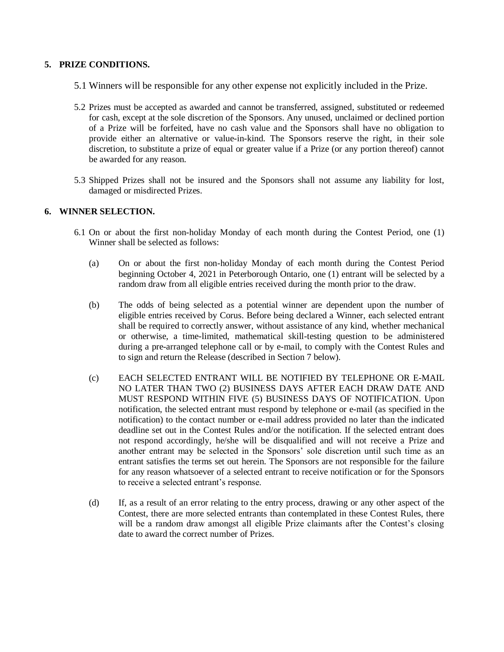#### **5. PRIZE CONDITIONS.**

- 5.1 Winners will be responsible for any other expense not explicitly included in the Prize.
- 5.2 Prizes must be accepted as awarded and cannot be transferred, assigned, substituted or redeemed for cash, except at the sole discretion of the Sponsors. Any unused, unclaimed or declined portion of a Prize will be forfeited, have no cash value and the Sponsors shall have no obligation to provide either an alternative or value-in-kind. The Sponsors reserve the right, in their sole discretion, to substitute a prize of equal or greater value if a Prize (or any portion thereof) cannot be awarded for any reason.
- 5.3 Shipped Prizes shall not be insured and the Sponsors shall not assume any liability for lost, damaged or misdirected Prizes.

#### **6. WINNER SELECTION.**

- 6.1 On or about the first non-holiday Monday of each month during the Contest Period, one (1) Winner shall be selected as follows:
	- (a) On or about the first non-holiday Monday of each month during the Contest Period beginning October 4, 2021 in Peterborough Ontario, one (1) entrant will be selected by a random draw from all eligible entries received during the month prior to the draw.
	- (b) The odds of being selected as a potential winner are dependent upon the number of eligible entries received by Corus. Before being declared a Winner, each selected entrant shall be required to correctly answer, without assistance of any kind, whether mechanical or otherwise, a time-limited, mathematical skill-testing question to be administered during a pre-arranged telephone call or by e-mail, to comply with the Contest Rules and to sign and return the Release (described in Section [7](#page-3-0) below).
	- (c) EACH SELECTED ENTRANT WILL BE NOTIFIED BY TELEPHONE OR E-MAIL NO LATER THAN TWO (2) BUSINESS DAYS AFTER EACH DRAW DATE AND MUST RESPOND WITHIN FIVE (5) BUSINESS DAYS OF NOTIFICATION. Upon notification, the selected entrant must respond by telephone or e-mail (as specified in the notification) to the contact number or e-mail address provided no later than the indicated deadline set out in the Contest Rules and/or the notification. If the selected entrant does not respond accordingly, he/she will be disqualified and will not receive a Prize and another entrant may be selected in the Sponsors' sole discretion until such time as an entrant satisfies the terms set out herein. The Sponsors are not responsible for the failure for any reason whatsoever of a selected entrant to receive notification or for the Sponsors to receive a selected entrant's response.
	- (d) If, as a result of an error relating to the entry process, drawing or any other aspect of the Contest, there are more selected entrants than contemplated in these Contest Rules, there will be a random draw amongst all eligible Prize claimants after the Contest's closing date to award the correct number of Prizes.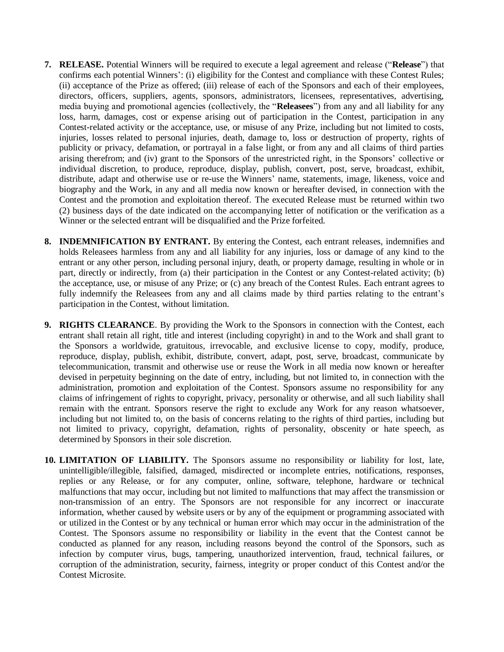- <span id="page-3-0"></span>**7. RELEASE.** Potential Winners will be required to execute a legal agreement and release ("**Release**") that confirms each potential Winners': (i) eligibility for the Contest and compliance with these Contest Rules; (ii) acceptance of the Prize as offered; (iii) release of each of the Sponsors and each of their employees, directors, officers, suppliers, agents, sponsors, administrators, licensees, representatives, advertising, media buying and promotional agencies (collectively, the "**Releasees**") from any and all liability for any loss, harm, damages, cost or expense arising out of participation in the Contest, participation in any Contest-related activity or the acceptance, use, or misuse of any Prize, including but not limited to costs, injuries, losses related to personal injuries, death, damage to, loss or destruction of property, rights of publicity or privacy, defamation, or portrayal in a false light, or from any and all claims of third parties arising therefrom; and (iv) grant to the Sponsors of the unrestricted right, in the Sponsors' collective or individual discretion, to produce, reproduce, display, publish, convert, post, serve, broadcast, exhibit, distribute, adapt and otherwise use or re-use the Winners' name, statements, image, likeness, voice and biography and the Work, in any and all media now known or hereafter devised, in connection with the Contest and the promotion and exploitation thereof. The executed Release must be returned within two (2) business days of the date indicated on the accompanying letter of notification or the verification as a Winner or the selected entrant will be disqualified and the Prize forfeited.
- **8. INDEMNIFICATION BY ENTRANT.** By entering the Contest, each entrant releases, indemnifies and holds Releasees harmless from any and all liability for any injuries, loss or damage of any kind to the entrant or any other person, including personal injury, death, or property damage, resulting in whole or in part, directly or indirectly, from (a) their participation in the Contest or any Contest-related activity; (b) the acceptance, use, or misuse of any Prize; or (c) any breach of the Contest Rules. Each entrant agrees to fully indemnify the Releasees from any and all claims made by third parties relating to the entrant's participation in the Contest, without limitation.
- **9. RIGHTS CLEARANCE**. By providing the Work to the Sponsors in connection with the Contest, each entrant shall retain all right, title and interest (including copyright) in and to the Work and shall grant to the Sponsors a worldwide, gratuitous, irrevocable, and exclusive license to copy, modify, produce, reproduce, display, publish, exhibit, distribute, convert, adapt, post, serve, broadcast, communicate by telecommunication, transmit and otherwise use or reuse the Work in all media now known or hereafter devised in perpetuity beginning on the date of entry, including, but not limited to, in connection with the administration, promotion and exploitation of the Contest. Sponsors assume no responsibility for any claims of infringement of rights to copyright, privacy, personality or otherwise, and all such liability shall remain with the entrant. Sponsors reserve the right to exclude any Work for any reason whatsoever, including but not limited to, on the basis of concerns relating to the rights of third parties, including but not limited to privacy, copyright, defamation, rights of personality, obscenity or hate speech, as determined by Sponsors in their sole discretion.
- **10. LIMITATION OF LIABILITY.** The Sponsors assume no responsibility or liability for lost, late, unintelligible/illegible, falsified, damaged, misdirected or incomplete entries, notifications, responses, replies or any Release, or for any computer, online, software, telephone, hardware or technical malfunctions that may occur, including but not limited to malfunctions that may affect the transmission or non-transmission of an entry. The Sponsors are not responsible for any incorrect or inaccurate information, whether caused by website users or by any of the equipment or programming associated with or utilized in the Contest or by any technical or human error which may occur in the administration of the Contest. The Sponsors assume no responsibility or liability in the event that the Contest cannot be conducted as planned for any reason, including reasons beyond the control of the Sponsors, such as infection by computer virus, bugs, tampering, unauthorized intervention, fraud, technical failures, or corruption of the administration, security, fairness, integrity or proper conduct of this Contest and/or the Contest Microsite.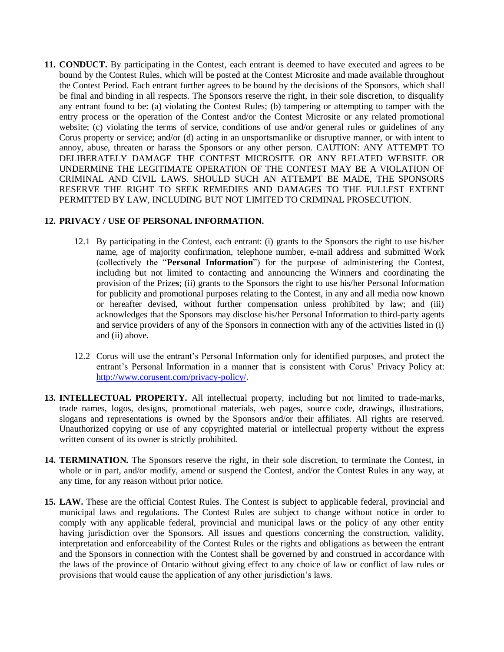**11. CONDUCT.** By participating in the Contest, each entrant is deemed to have executed and agrees to be bound by the Contest Rules, which will be posted at the Contest Microsite and made available throughout the Contest Period. Each entrant further agrees to be bound by the decisions of the Sponsors, which shall be final and binding in all respects. The Sponsors reserve the right, in their sole discretion, to disqualify any entrant found to be: (a) violating the Contest Rules; (b) tampering or attempting to tamper with the entry process or the operation of the Contest and/or the Contest Microsite or any related promotional website; (c) violating the terms of service, conditions of use and/or general rules or guidelines of any Corus property or service; and/or (d) acting in an unsportsmanlike or disruptive manner, or with intent to annoy, abuse, threaten or harass the Sponsors or any other person. CAUTION: ANY ATTEMPT TO DELIBERATELY DAMAGE THE CONTEST MICROSITE OR ANY RELATED WEBSITE OR UNDERMINE THE LEGITIMATE OPERATION OF THE CONTEST MAY BE A VIOLATION OF CRIMINAL AND CIVIL LAWS. SHOULD SUCH AN ATTEMPT BE MADE, THE SPONSORS RESERVE THE RIGHT TO SEEK REMEDIES AND DAMAGES TO THE FULLEST EXTENT PERMITTED BY LAW, INCLUDING BUT NOT LIMITED TO CRIMINAL PROSECUTION.

#### **12. PRIVACY / USE OF PERSONAL INFORMATION.**

- 12.1 By participating in the Contest, each entrant: (i) grants to the Sponsors the right to use his/her name, age of majority confirmation, telephone number, e-mail address and submitted Work (collectively the "**Personal Information**") for the purpose of administering the Contest, including but not limited to contacting and announcing the Winner**s** and coordinating the provision of the Prize**s**; (ii) grants to the Sponsors the right to use his/her Personal Information for publicity and promotional purposes relating to the Contest, in any and all media now known or hereafter devised, without further compensation unless prohibited by law; and (iii) acknowledges that the Sponsors may disclose his/her Personal Information to third-party agents and service providers of any of the Sponsors in connection with any of the activities listed in (i) and (ii) above.
- 12.2 Corus will use the entrant's Personal Information only for identified purposes, and protect the entrant's Personal Information in a manner that is consistent with Corus' Privacy Policy at: [http://www.corusent.com/privacy-policy/.](http://www.corusent.com/privacy-policy/)
- **13. INTELLECTUAL PROPERTY.** All intellectual property, including but not limited to trade-marks, trade names, logos, designs, promotional materials, web pages, source code, drawings, illustrations, slogans and representations is owned by the Sponsors and/or their affiliates. All rights are reserved. Unauthorized copying or use of any copyrighted material or intellectual property without the express written consent of its owner is strictly prohibited.
- **14. TERMINATION.** The Sponsors reserve the right, in their sole discretion, to terminate the Contest, in whole or in part, and/or modify, amend or suspend the Contest, and/or the Contest Rules in any way, at any time, for any reason without prior notice.
- **15. LAW.** These are the official Contest Rules. The Contest is subject to applicable federal, provincial and municipal laws and regulations. The Contest Rules are subject to change without notice in order to comply with any applicable federal, provincial and municipal laws or the policy of any other entity having jurisdiction over the Sponsors. All issues and questions concerning the construction, validity, interpretation and enforceability of the Contest Rules or the rights and obligations as between the entrant and the Sponsors in connection with the Contest shall be governed by and construed in accordance with the laws of the province of Ontario without giving effect to any choice of law or conflict of law rules or provisions that would cause the application of any other jurisdiction's laws.